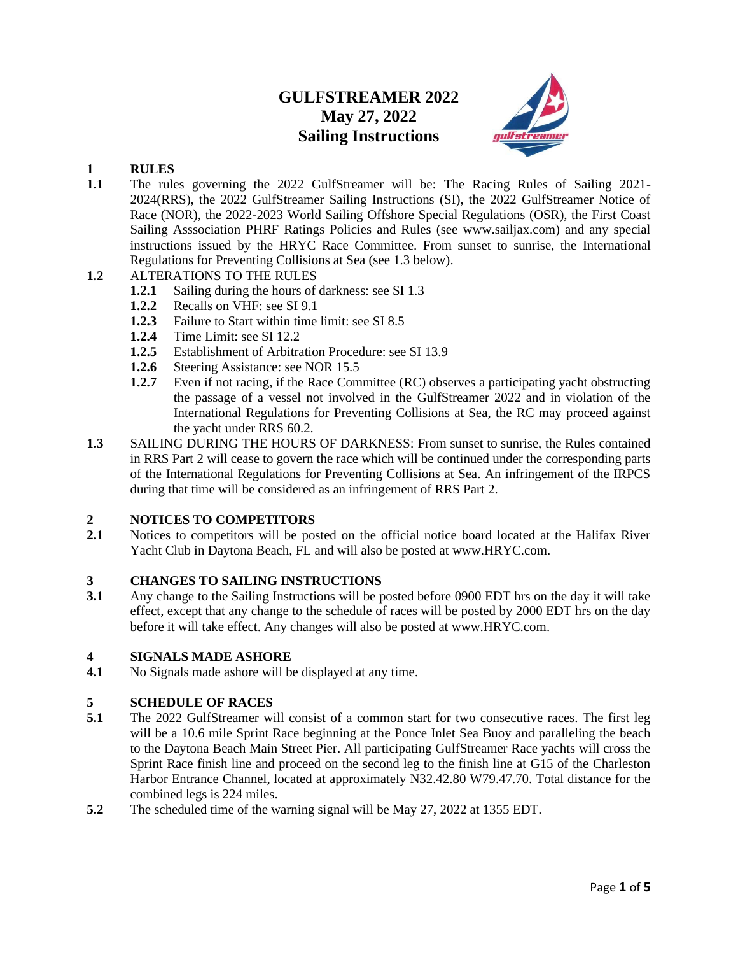## **GULFSTREAMER 2022 May 27, 2022 Sailing Instructions**



## **1 RULES**

**1.1** The rules governing the 2022 GulfStreamer will be: The Racing Rules of Sailing 2021- 2024(RRS), the 2022 GulfStreamer Sailing Instructions (SI), the 2022 GulfStreamer Notice of Race (NOR), the 2022-2023 World Sailing Offshore Special Regulations (OSR), the First Coast Sailing Asssociation PHRF Ratings Policies and Rules (see www.sailjax.com) and any special instructions issued by the HRYC Race Committee. From sunset to sunrise, the International Regulations for Preventing Collisions at Sea (see 1.3 below).

## **1.2** ALTERATIONS TO THE RULES

- **1.2.1** Sailing during the hours of darkness: see SI 1.3
- **1.2.2** Recalls on VHF: see SI 9.1
- **1.2.3** Failure to Start within time limit: see SI 8.5
- **1.2.4** Time Limit: see SI 12.2
- **1.2.5** Establishment of Arbitration Procedure: see SI 13.9
- **1.2.6** Steering Assistance: see NOR 15.5
- **1.2.7** Even if not racing, if the Race Committee (RC) observes a participating yacht obstructing the passage of a vessel not involved in the GulfStreamer 2022 and in violation of the International Regulations for Preventing Collisions at Sea, the RC may proceed against the yacht under RRS 60.2.
- **1.3** SAILING DURING THE HOURS OF DARKNESS: From sunset to sunrise, the Rules contained in RRS Part 2 will cease to govern the race which will be continued under the corresponding parts of the International Regulations for Preventing Collisions at Sea. An infringement of the IRPCS during that time will be considered as an infringement of RRS Part 2.

## **2 NOTICES TO COMPETITORS**

**2.1** Notices to competitors will be posted on the official notice board located at the Halifax River Yacht Club in Daytona Beach, FL and will also be posted at www.HRYC.com.

## **3 CHANGES TO SAILING INSTRUCTIONS**

**3.1** Any change to the Sailing Instructions will be posted before 0900 EDT hrs on the day it will take effect, except that any change to the schedule of races will be posted by 2000 EDT hrs on the day before it will take effect. Any changes will also be posted at www.HRYC.com.

## **4 SIGNALS MADE ASHORE**

**4.1** No Signals made ashore will be displayed at any time.

## **5 SCHEDULE OF RACES**

- **5.1** The 2022 GulfStreamer will consist of a common start for two consecutive races. The first leg will be a 10.6 mile Sprint Race beginning at the Ponce Inlet Sea Buoy and paralleling the beach to the Daytona Beach Main Street Pier. All participating GulfStreamer Race yachts will cross the Sprint Race finish line and proceed on the second leg to the finish line at G15 of the Charleston Harbor Entrance Channel, located at approximately N32.42.80 W79.47.70. Total distance for the combined legs is 224 miles.
- **5.2** The scheduled time of the warning signal will be May 27, 2022 at 1355 EDT.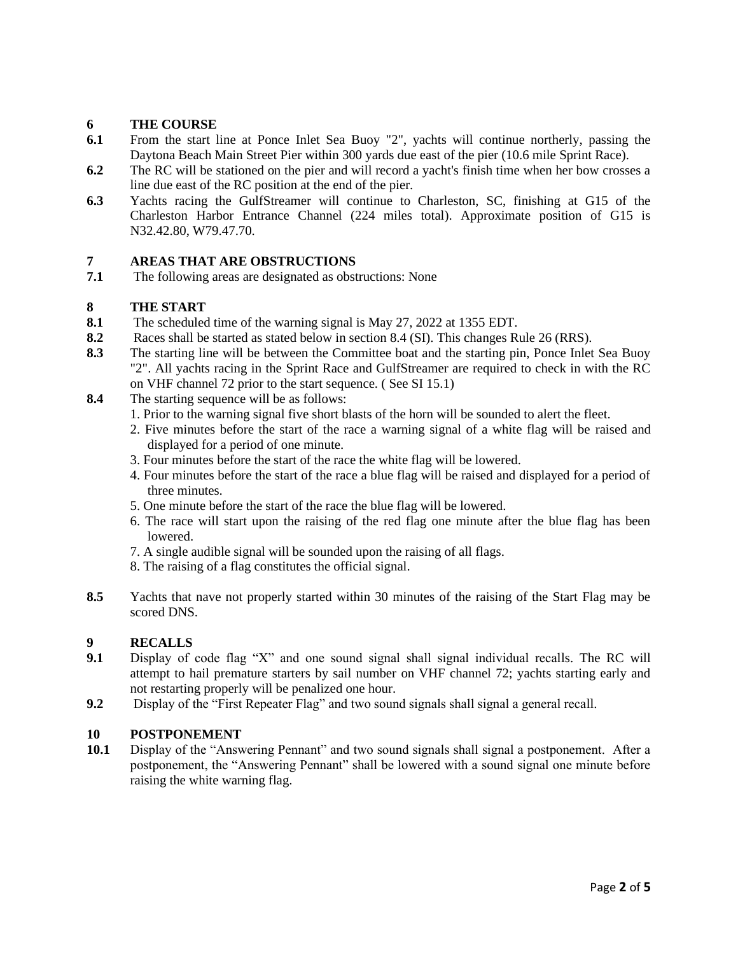# **6 THE COURSE**<br>**6.1** From the start 1

- From the start line at Ponce Inlet Sea Buoy "2", yachts will continue northerly, passing the Daytona Beach Main Street Pier within 300 yards due east of the pier (10.6 mile Sprint Race).
- **6.2** The RC will be stationed on the pier and will record a yacht's finish time when her bow crosses a line due east of the RC position at the end of the pier.
- **6.3** Yachts racing the GulfStreamer will continue to Charleston, SC, finishing at G15 of the Charleston Harbor Entrance Channel (224 miles total). Approximate position of G15 is N32.42.80, W79.47.70.

## **7 AREAS THAT ARE OBSTRUCTIONS**

**7.1** The following areas are designated as obstructions: None

## **8 THE START**

- **8.1** The scheduled time of the warning signal is May 27, 2022 at 1355 EDT.
- **8.2** Races shall be started as stated below in section 8.4 (SI). This changes Rule 26 (RRS).
- **8.3** The starting line will be between the Committee boat and the starting pin, Ponce Inlet Sea Buoy "2". All yachts racing in the Sprint Race and GulfStreamer are required to check in with the RC on VHF channel 72 prior to the start sequence. ( See SI 15.1)
- **8.4** The starting sequence will be as follows:
	- 1. Prior to the warning signal five short blasts of the horn will be sounded to alert the fleet.
	- 2. Five minutes before the start of the race a warning signal of a white flag will be raised and displayed for a period of one minute.
	- 3. Four minutes before the start of the race the white flag will be lowered.
	- 4. Four minutes before the start of the race a blue flag will be raised and displayed for a period of three minutes.
	- 5. One minute before the start of the race the blue flag will be lowered.
	- 6. The race will start upon the raising of the red flag one minute after the blue flag has been lowered.
	- 7. A single audible signal will be sounded upon the raising of all flags.
	- 8. The raising of a flag constitutes the official signal.
- **8.5** Yachts that nave not properly started within 30 minutes of the raising of the Start Flag may be scored DNS.

## **9 RECALLS**

- **9.1** Display of code flag "X" and one sound signal shall signal individual recalls. The RC will attempt to hail premature starters by sail number on VHF channel 72; yachts starting early and not restarting properly will be penalized one hour.
- **9.2** Display of the "First Repeater Flag" and two sound signals shall signal a general recall.

## **10 POSTPONEMENT**

**10.1** Display of the "Answering Pennant" and two sound signals shall signal a postponement. After a postponement, the "Answering Pennant" shall be lowered with a sound signal one minute before raising the white warning flag.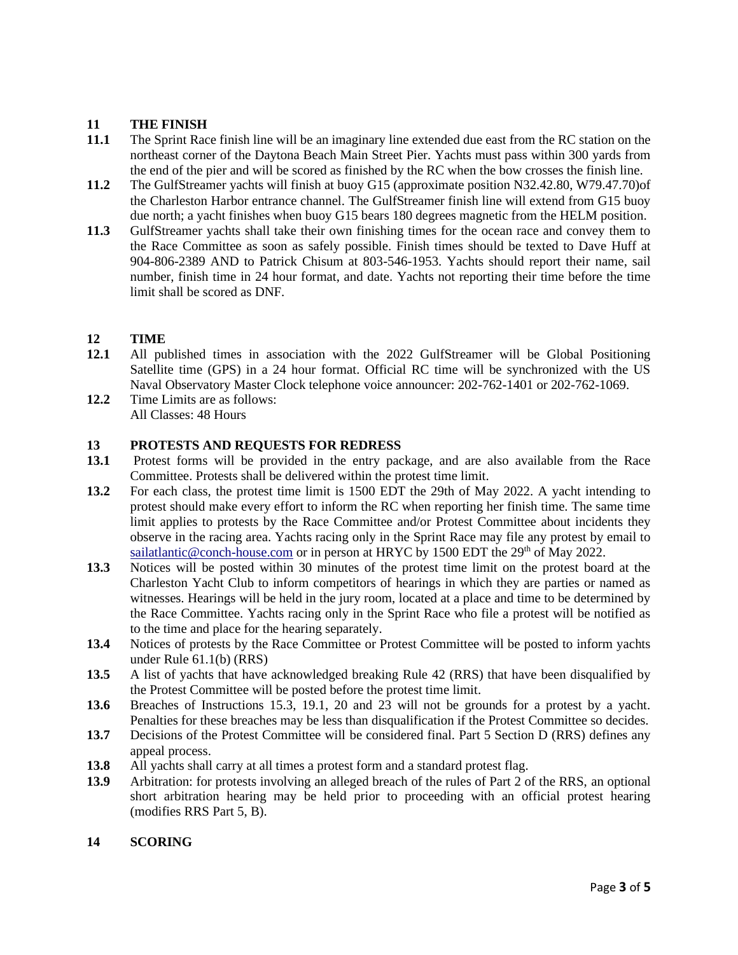# 11 **THE FINISH**<br>11.1 The Sprint Rac

- **11.1** The Sprint Race finish line will be an imaginary line extended due east from the RC station on the northeast corner of the Daytona Beach Main Street Pier. Yachts must pass within 300 yards from the end of the pier and will be scored as finished by the RC when the bow crosses the finish line.
- **11.2** The GulfStreamer yachts will finish at buoy G15 (approximate position N32.42.80, W79.47.70)of the Charleston Harbor entrance channel. The GulfStreamer finish line will extend from G15 buoy due north; a yacht finishes when buoy G15 bears 180 degrees magnetic from the HELM position.
- **11.3** GulfStreamer yachts shall take their own finishing times for the ocean race and convey them to the Race Committee as soon as safely possible. Finish times should be texted to Dave Huff at 904-806-2389 AND to Patrick Chisum at 803-546-1953. Yachts should report their name, sail number, finish time in 24 hour format, and date. Yachts not reporting their time before the time limit shall be scored as DNF.

## **12 TIME**

- **12.1** All published times in association with the 2022 GulfStreamer will be Global Positioning Satellite time (GPS) in a 24 hour format. Official RC time will be synchronized with the US Naval Observatory Master Clock telephone voice announcer: 202-762-1401 or 202-762-1069.
- **12.2** Time Limits are as follows: All Classes: 48 Hours

## **13 PROTESTS AND REQUESTS FOR REDRESS**

- **13.1** Protest forms will be provided in the entry package, and are also available from the Race Committee. Protests shall be delivered within the protest time limit.
- **13.2** For each class, the protest time limit is 1500 EDT the 29th of May 2022. A yacht intending to protest should make every effort to inform the RC when reporting her finish time. The same time limit applies to protests by the Race Committee and/or Protest Committee about incidents they observe in the racing area. Yachts racing only in the Sprint Race may file any protest by email to [sailatlantic@conch-house.com](mailto:sailatlantic@conch-house.com) or in person at HRYC by 1500 EDT the  $29<sup>th</sup>$  of May 2022.
- **13.3** Notices will be posted within 30 minutes of the protest time limit on the protest board at the Charleston Yacht Club to inform competitors of hearings in which they are parties or named as witnesses. Hearings will be held in the jury room, located at a place and time to be determined by the Race Committee. Yachts racing only in the Sprint Race who file a protest will be notified as to the time and place for the hearing separately.
- 13.4 Notices of protests by the Race Committee or Protest Committee will be posted to inform yachts under Rule 61.1(b) (RRS)
- **13.5** A list of yachts that have acknowledged breaking Rule 42 (RRS) that have been disqualified by the Protest Committee will be posted before the protest time limit.
- **13.6** Breaches of Instructions 15.3, 19.1, 20 and 23 will not be grounds for a protest by a yacht. Penalties for these breaches may be less than disqualification if the Protest Committee so decides.
- **13.7** Decisions of the Protest Committee will be considered final. Part 5 Section D (RRS) defines any appeal process.
- **13.8** All yachts shall carry at all times a protest form and a standard protest flag.
- **13.9** Arbitration: for protests involving an alleged breach of the rules of Part 2 of the RRS, an optional short arbitration hearing may be held prior to proceeding with an official protest hearing (modifies RRS Part 5, B).

## **14 SCORING**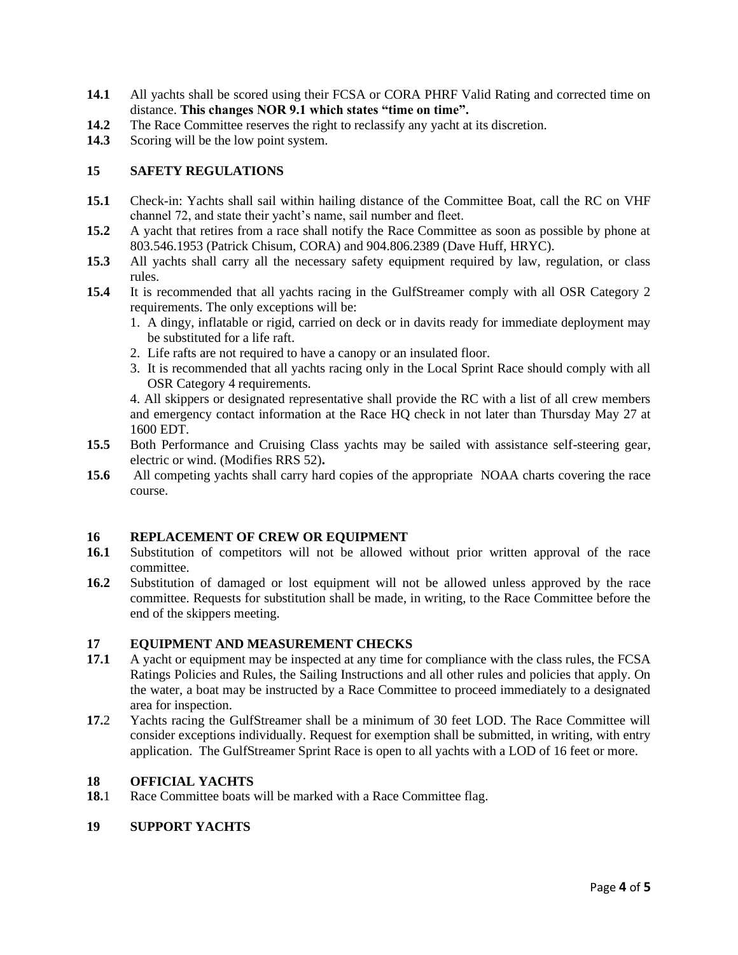- **14.1** All yachts shall be scored using their FCSA or CORA PHRF Valid Rating and corrected time on distance. **This changes NOR 9.1 which states "time on time".**
- **14.2** The Race Committee reserves the right to reclassify any yacht at its discretion.
- **14.3** Scoring will be the low point system.

#### **15 SAFETY REGULATIONS**

- **15.1** Check-in: Yachts shall sail within hailing distance of the Committee Boat, call the RC on VHF channel 72, and state their yacht's name, sail number and fleet.
- **15.2** A yacht that retires from a race shall notify the Race Committee as soon as possible by phone at 803.546.1953 (Patrick Chisum, CORA) and 904.806.2389 (Dave Huff, HRYC).
- **15.3** All yachts shall carry all the necessary safety equipment required by law, regulation, or class rules.
- **15.4** It is recommended that all yachts racing in the GulfStreamer comply with all OSR Category 2 requirements. The only exceptions will be:
	- 1. A dingy, inflatable or rigid, carried on deck or in davits ready for immediate deployment may be substituted for a life raft.
	- 2. Life rafts are not required to have a canopy or an insulated floor.
	- 3. It is recommended that all yachts racing only in the Local Sprint Race should comply with all OSR Category 4 requirements.

4. All skippers or designated representative shall provide the RC with a list of all crew members and emergency contact information at the Race HQ check in not later than Thursday May 27 at 1600 EDT.

- **15.5** Both Performance and Cruising Class yachts may be sailed with assistance self-steering gear, electric or wind. (Modifies RRS 52)**.**
- **15.6** All competing yachts shall carry hard copies of the appropriate NOAA charts covering the race course.

#### **16 REPLACEMENT OF CREW OR EQUIPMENT**

- **16.1** Substitution of competitors will not be allowed without prior written approval of the race committee.
- **16.2** Substitution of damaged or lost equipment will not be allowed unless approved by the race committee. Requests for substitution shall be made, in writing, to the Race Committee before the end of the skippers meeting.

#### **17 EQUIPMENT AND MEASUREMENT CHECKS**

- **17.1** A yacht or equipment may be inspected at any time for compliance with the class rules, the FCSA Ratings Policies and Rules, the Sailing Instructions and all other rules and policies that apply. On the water, a boat may be instructed by a Race Committee to proceed immediately to a designated area for inspection.
- **17.**2 Yachts racing the GulfStreamer shall be a minimum of 30 feet LOD. The Race Committee will consider exceptions individually. Request for exemption shall be submitted, in writing, with entry application. The GulfStreamer Sprint Race is open to all yachts with a LOD of 16 feet or more.

#### **18 OFFICIAL YACHTS**

18.1 Race Committee boats will be marked with a Race Committee flag.

#### **19 SUPPORT YACHTS**